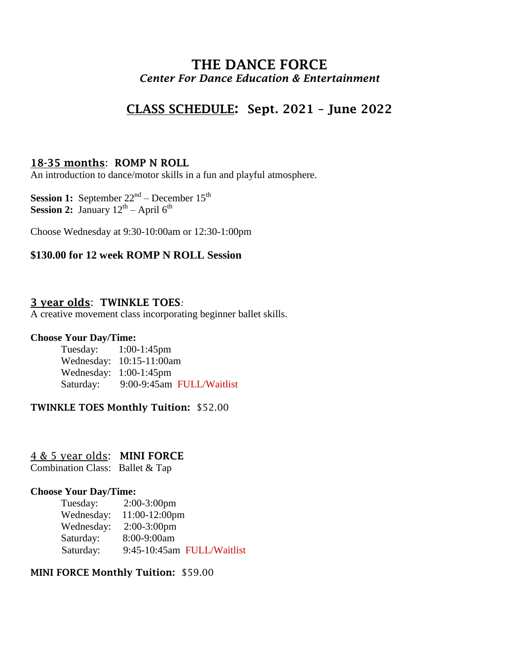## **THE DANCE FORCE** *Center For Dance Education & Entertainment*

# **CLASS SCHEDULE: Sept. 2021 – June 2022**

#### **18-35 months**: **ROMP N ROLL**

An introduction to dance/motor skills in a fun and playful atmosphere.

**Session 1:** September 22<sup>nd</sup> – December 15<sup>th</sup> **Session 2:** January  $12^{th}$  – April  $6^{th}$ 

Choose Wednesday at 9:30-10:00am or 12:30-1:00pm

### **\$130.00 for 12 week ROMP N ROLL Session**

#### **3 year olds**: **TWINKLE TOES***:*

A creative movement class incorporating beginner ballet skills.

#### **Choose Your Day/Time:**

| Tuesday:  | $1:00-1:45$ pm              |
|-----------|-----------------------------|
|           | Wednesday: $10:15-11:00$ am |
|           | Wednesday: $1:00-1:45$ pm   |
| Saturday: | 9:00-9:45am FULL/Waitlist   |

#### **TWINKLE TOES Monthly Tuition:** \$52.00

4 & 5 year olds: **MINI FORCE** 

Combination Class: Ballet & Tap

#### **Choose Your Day/Time:**

| Tuesday:   | $2:00-3:00$ pm             |
|------------|----------------------------|
| Wednesday: | $11:00-12:00$ pm           |
| Wednesday: | $2:00-3:00$ pm             |
| Saturday:  | 8:00-9:00am                |
| Saturday:  | 9:45-10:45am FULL/Waitlist |

#### **MINI FORCE Monthly Tuition:** \$59.00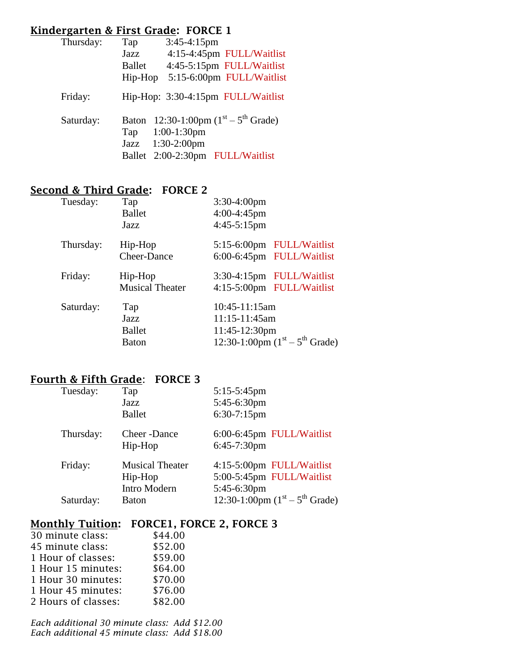## **Kindergarten & First Grade: FORCE 1**

| Thursday: | Tap    | $3:45-4:15$ pm                         |
|-----------|--------|----------------------------------------|
|           | Jazz   | 4:15-4:45pm FULL/Waitlist              |
|           | Ballet | 4:45-5:15pm FULL/Waitlist              |
|           |        | Hip-Hop 5:15-6:00pm FULL/Waitlist      |
| Friday:   |        | Hip-Hop: 3:30-4:15pm FULL/Waitlist     |
| Saturday: |        | Baton 12:30-1:00pm $(1st – 5th Grade)$ |
|           |        | Tap 1:00-1:30pm                        |
|           |        | Jazz 1:30-2:00pm                       |
|           |        | Ballet 2:00-2:30pm FULL/Waitlist       |
|           |        |                                        |

#### **Second & Third Grade: FORCE 2**

| Tuesday:  | Tap<br><b>Ballet</b><br>Jazz      | 3:30-4:00pm<br>$4:00-4:45$ pm<br>$4:45-5:15$ pm                                     |
|-----------|-----------------------------------|-------------------------------------------------------------------------------------|
| Thursday: | Hip-Hop<br><b>Cheer-Dance</b>     | 5:15-6:00pm FULL/Waitlist<br>6:00-6:45pm FULL/Waitlist                              |
| Friday:   | Hip-Hop<br><b>Musical Theater</b> | 3:30-4:15pm FULL/Waitlist<br>4:15-5:00pm FULL/Waitlist                              |
| Saturday: | Tap<br>Jazz<br>Ballet<br>Baton    | 10:45-11:15am<br>11:15-11:45am<br>11:45-12:30pm<br>12:30-1:00pm $(1st – 5th Grade)$ |

## **Fourth & Fifth Grade**: **FORCE 3**

| Tuesday:  | Tap                    | $5:15-5:45$ pm                   |
|-----------|------------------------|----------------------------------|
|           | Jazz                   | 5:45-6:30pm                      |
|           | <b>Ballet</b>          | 6:30-7:15pm                      |
| Thursday: | <b>Cheer-Dance</b>     | 6:00-6:45pm FULL/Waitlist        |
|           | Hip-Hop                | 6:45-7:30pm                      |
| Friday:   | <b>Musical Theater</b> | 4:15-5:00pm FULL/Waitlist        |
|           | Hip-Hop                | 5:00-5:45pm FULL/Waitlist        |
|           | Intro Modern           | 5:45-6:30pm                      |
| Saturday: | <b>Baton</b>           | 12:30-1:00pm $(1st – 5th Grade)$ |

### **Monthly Tuition: FORCE1, FORCE 2, FORCE 3**

| 30 minute class:    | \$44.00 |
|---------------------|---------|
| 45 minute class:    | \$52.00 |
| 1 Hour of classes:  | \$59.00 |
| 1 Hour 15 minutes:  | \$64.00 |
| 1 Hour 30 minutes:  | \$70.00 |
| 1 Hour 45 minutes:  | \$76.00 |
| 2 Hours of classes: | \$82.00 |

*Each additional 30 minute class: Add \$12.00 Each additional 45 minute class: Add \$18.00*